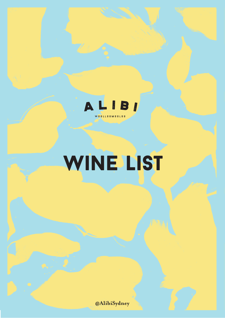

# WINE LIST

**@AlibiSydney**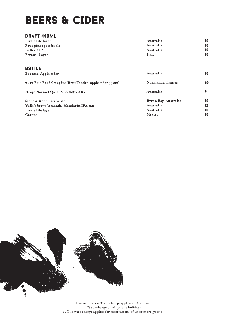### BEERS & CIDER

#### draft 440ml

| Pirate life lager      | Australia | 10 |
|------------------------|-----------|----|
| Four pines pacific ale | Australia | 10 |
| <b>Balter XPA</b>      | Australia | 10 |
| Peroni, Lager          | Italy     | 10 |

| <b>BOTTLE</b><br>Barossa, Apple cider                                                    | Australia                                      | 10             |
|------------------------------------------------------------------------------------------|------------------------------------------------|----------------|
| 2019 Eric Bordelet sydre 'Brut Tendre' apple cider 750ml                                 | Normandy, France                               | 65             |
| Heaps Normal Quiet XPA 0.5% ABV                                                          | Australia                                      |                |
| Stone & Wood Pacific ale<br>Yulli's brews 'Amanda' Mandarin IPA can<br>Pirate life lager | Byron Bay, Australia<br>Australia<br>Australia | 10<br>12<br>10 |
| Corona                                                                                   | Mexico                                         | 10             |



Please note a 10% surcharge applies on Sunday 15% surcharge on all public holidays 10% service charge applies for reservations of 10 or more guests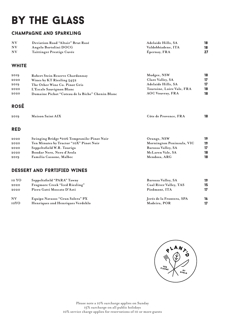# by the glass

#### champagne and sparkling

| <b>NV</b> | Deviation Road "Altair" Brut Rosé | <b>Adelaide Hills, SA</b> |  |
|-----------|-----------------------------------|---------------------------|--|
| <b>NV</b> | Angelo Bortolini DOCG             | Valdobbiadene. ITA        |  |
| NV        | Taittinger Prestige Cuvée         | Epernay, FRA              |  |

#### **WHITE**

| 2019 | Robert Stein Reserve Chardonnay                  | Mudgee, NSW               | 18 |
|------|--------------------------------------------------|---------------------------|----|
| 2020 | Wines by KT Riesling 5452                        | Clare Valley, SA          | 17 |
| 2019 | The Other Wine Co. Pinot Gris                    | Adelaide Hills, SA        | 17 |
| 2020 | L'Escale Sauvignon Blanc                         | Touraine, Loire Vale, FRA | 18 |
| 2020 | Domaine Pichot "Coteau de la Biche" Chenin Blanc | <b>AOC Vouvray, FRA</b>   | 18 |
|      |                                                  |                           |    |

#### rosé

| 2019 | <b>Maison Saint AIX</b> | Côte de Provence, FRA |  |
|------|-------------------------|-----------------------|--|
|      |                         |                       |  |

#### red

| 2020 | Swinging Bridge #006 Tempranilo-Pinot Noir | Orange, NSW               | 19 |
|------|--------------------------------------------|---------------------------|----|
| 2020 | Ten Minutes by Tractor "10X" Pinot Noir    | Mornington Peninsula, VIC | 19 |
| 2020 | Seppeltsfield W.R. Touriga                 | Barossa Valley, SA        | 17 |
| 2020 | Bondar Nero, Nero d'Avola                  | McLaren Vale, SA          | 18 |
| 2019 | Familia Cassone, Malbec                    | Mendoza, ARG              | 18 |
|      |                                            |                           |    |

#### DESSERT and FORTIFIED WINES

| 10 YO     | Seppeltsfield "PARA" Tawny       | Barossa Valley, SA        | 19 |
|-----------|----------------------------------|---------------------------|----|
| 2020      | Frogmore Creek "Iced Riesling"   | Coal River Valley, TAS    | 15 |
| 2020      | Piero Gatti Moscato D'Asti       | Piedmont, ITA             | 17 |
| <b>NV</b> | Equipo Navasos "Gran Solera" PX  | Jeréz de la Frontera, SPA | 16 |
| 10YO      | Henriques and Henriques Verdehlo | Madeira, POR              |    |

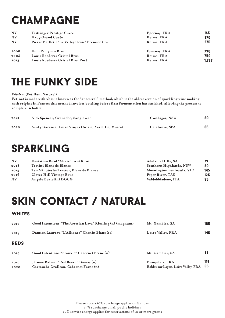# **CHAMPAGNE**

| <b>NV</b> | Taittinger Prestige Cuvée                      | Epernay, FRA | 165   |
|-----------|------------------------------------------------|--------------|-------|
| <b>NV</b> | Krug Grand Cuvée                               | Reims, FRA   | 870   |
| <b>NV</b> | Pierre Baillette 'Le Village Rosé' Premier Cru | Reims, FRA   | 275   |
| 2008      | Dom Perignon Brut                              | Epernay, FRA | 790   |
| 2008      | Louis Roederer Cristal Brut                    | Reims, FRA   | 750   |
| 2013      | Louis Roederer Cristal Brut Rosé               | Reims, FRA   | 1.799 |

### the funky side

#### **Pét-Nat (Petillant Naturel)**

**Pét-nat is made with what is known as the "ancestral" method, which is the oldest version of sparkling wine making with origins in France; this method involves bottling before first fermentation has finished, allowing the process to complete in bottle.**

| 2021 | Nick Spencer, Grenache, Sangiovese                    | Gundagai, NSW  | 80 |
|------|-------------------------------------------------------|----------------|----|
| 2020 | Azul y Garanza, Entre Vinyes Oníric, Xarel.Lo, Muscat | Catalunya, SPA | 85 |

### **SPARKLING**

| <b>NV</b> | Deviation Road "Altair" Brut Rosé       | Adelaide Hills, SA        | 79  |
|-----------|-----------------------------------------|---------------------------|-----|
| 2018      | Tertini Blanc de Blancs                 | Southern Highlands, NSW   | 80  |
| 2015      | Ten Minutes by Tractor, Blanc de Blancs | Mornington Peninsula, VIC | 145 |
| 2016      | Clover Hill Vintage Brut                | Piper River, TAS          | 125 |
| <b>NV</b> | Angelo Bortolini DOCG                   | Valdobbiadene. ITA        | 85  |

### Skin Contact / Natural

#### **WHITES**

| 2019<br>2020 | Jèrome Balmet "Red Beard" Gamay (n)<br>Cartouche Grolleau, Cabernet Franc (n) | Beaujolais, FRA<br>Rablay sur Layon, Loire Valley, FRA | 115<br>85 |
|--------------|-------------------------------------------------------------------------------|--------------------------------------------------------|-----------|
| 2019         | Good Intentions "Frankie" Cabernet Franc (n)                                  | Mt. Gambier. SA                                        | 89        |
| <b>REDS</b>  |                                                                               |                                                        |           |
| 2019         | Damien Laureau "L'Alliance" Chenin Blanc (sc)                                 | Loire Valley, FRA                                      | 145       |
| 2017         | Good Intentions "The Artesian Lava" Riesling (n) (magnum)                     | Mt. Gambier, SA                                        | 185       |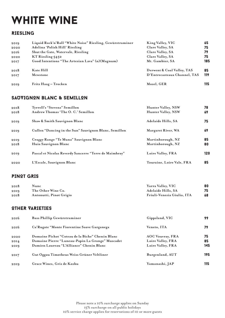# WHITE WINE

#### RIESLING

| 2019 | Liquid Rock'n'Roll "White Noise" Riesling, Gewürztraminer | King Valley, VIC             | 65  |
|------|-----------------------------------------------------------|------------------------------|-----|
| 2020 | Adelina 'Polish Hill' Riesling                            | Clare Valley, SA             | 75  |
| 2016 | Shut the Gate, Watervale, Riesling                        | Clare Valley, SA             | 79  |
| 2020 | KT Riesling 5452                                          | Clare Valley, SA             | 75  |
| 2017 | Good Intentions "The Artesian Lava" (n) (Magnum)          | Mt. Gambier, SA              | 185 |
| 2018 | <b>Kate Hill</b>                                          | Derwent & Coal Valley, TAS   | 85  |
| 2017 | Mewstone                                                  | D'Entrecasteaux Channel, TAS | 119 |
| 2019 | Fritz Haag – Trocken                                      | Mosel, GER                   | 115 |

#### SAUVIGNON BLANC & SEMILLON

| 2018<br>2018 | Tyrrell's "Stevens" Semillon<br>Andrew Thomas 'The O. C.' Semillon | Hunter Valley, NSW<br>Hunter Valley, NSW | 78<br>69 |
|--------------|--------------------------------------------------------------------|------------------------------------------|----------|
| 2019         | Shaw & Smith Sauvignon Blanc                                       | Adelaide Hills, SA                       | 75       |
| 2019         | Cullen "Dancing in the Sun" Sauvignon Blanc, Semillon              | Margaret River, WA                       | 69       |
| 2019<br>2018 | Craggy Range "Te Muna" Sauvignon Blanc<br>Huia Sauvignon Blanc     | Martinborough, NZ<br>Martinborough, NZ   | 85<br>80 |
| 2019         | Pascal et Nicolas Reverdy Sancerre "Terre de Maimbray"             | Loire Valley, FRA                        | 120      |
| 2020         | L'Escale, Sauvignon Blanc                                          | Touraine, Loire Vale, FRA                | 85       |

#### PINOT GRIS

| 2018 | Nunc                    | Yarra Valley, VIC          | 80 |
|------|-------------------------|----------------------------|----|
| 2019 | The Other Wine Co.      | <b>Adelaide Hills, SA</b>  | 75 |
| 2018 | Antonutti, Pinot Grigio | Friuli-Venezia Giulia, ITA | 68 |

#### OTHER VARIETIES

| 2016 | Bass Phillip Gewürztraminer                      | Gippsland, VIC          | 99  |
|------|--------------------------------------------------|-------------------------|-----|
| 2016 | Ca'Rugate "Monte Fiorentine Soave Garganega      | Veneto, ITA             | 79  |
| 2020 | Domaine Pichot "Coteau de la Biche" Chenin Blanc | <b>AOC Vouvray, FRA</b> | 75  |
| 20I4 | Domaine Pierre "Luneau-Papin La Grange" Muscadet | Loire Valley, FRA       | 85  |
| 2019 | Damien Laureau "L'Alliance" Chenin Blanc         | Loire Valley, FRA       | 145 |
| 2017 | Gut Oggau Timotheus Weiss Grüner Veltliner       | Burgenland, AUT         | 195 |
| 2019 | Grace Wines, Gris de Koshu                       | Yamanashi, JAP          | 115 |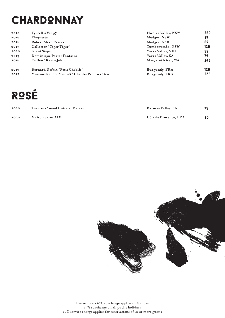# **CHARDONNAY**

| 2010 | Tyrrell's Vat 47                           | Hunter Valley, NSW | 280 |
|------|--------------------------------------------|--------------------|-----|
| 2016 | Eloquesta                                  | Mudgee, NSW        | 69  |
| 2016 | <b>Robert Stein Reserve</b>                | Mudgee, NSW        | 89  |
| 2017 | Collector "Tiger Tiger"                    | Tumbarumba, NSW    | 120 |
| 2020 | <b>Giant Steps</b>                         | Yarra Valley, VIC  | 89  |
| 2019 | Dominique Portet Fontaine                  | Yarra Valley, SA   | 79  |
| 2016 | Cullen "Kevin John"                        | Margaret River, WA | 245 |
| 2019 | Bernard Defaix "Petit Chablis"             | Burgundy, FRA      | 120 |
| 2017 | Moreau-Naudet "Fourèt" Chablis Premier Cru | Burgundy, FRA      | 235 |

# ROSÉ

| 2020 | Torbreck 'Wood Cutters' Mataro | Barossa Valley, SA    | 75 |
|------|--------------------------------|-----------------------|----|
| 2020 | <b>Maison Saint AIX</b>        | Côte de Provence. FRA | 80 |

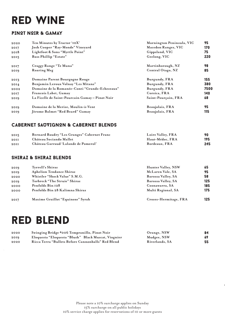### red wine

#### PINOT NOIR & GAMAY

| 2020 | Ten Minutes by Tractor '10X'                    | Mornington Peninsula, VIC | 95   |
|------|-------------------------------------------------|---------------------------|------|
| 2017 | Josh Cooper "Ray-Monde" Vineyard                | Macedon Ranges, VIC       | 170  |
| 2018 | Lightfoot & Sons "Myrtle Point"                 | Gippsland, VIC            | 75   |
| 2015 | Bass Phillip "Estate"                           | Geelong, VIC              | 220  |
| 2017 | Craggy Range "Te Muna"                          | Martinborough, NZ         | 98   |
| 2019 | Roaring Meg                                     | Central Otago, NZ         | 85   |
| 2013 | Domaine Parent Bourgogne Rouge                  | Burgundy, FRA             | 155  |
| 20I4 | Benjamin Leroux Volnay "Les Mitans"             | Burgundy, FRA             | 380  |
| 2002 | Domaine de la Romanée-Conti "Grands-Echezeaux"  | Burgundy, FRA             | 7500 |
| 2017 | Francois Labet, Gamay                           | Corsica, FRA              | 140  |
| 2019 | La Ficelle de Saint-Pourcain Gamay – Pinot Noir | Saint-Pourçain, FRA       | 68   |
| 2019 | Domaine de la Merize, Moulin-à-Vent             | Beaujolais, FRA           | 95   |
| 2019 | Jèrome Balmet "Red Beard" Gamay                 | Beaujolais, FRA           | 115  |

#### CABERNET SAUVIGNON & CABERNET BLENDS

| 2015 | Bernard Baudry "Les Granges" Cabernet Franc | Loire Valley, FRA | 90  |
|------|---------------------------------------------|-------------------|-----|
| 20II | Château Sociando Mallet                     | Haut-Médoc. FRA   | 195 |
| 20II | Château Garraud 'Lalande de Pomerol'        | Bordeaux. FRA     | 245 |

#### SHIRAZ & SHIRAZ BLENDS

| 2019 | Tyrrell's Shiraz                 | Hunter Valley, NSW    | 65  |
|------|----------------------------------|-----------------------|-----|
| 2019 | <b>Aphelion Tendance Shiraz</b>  | McLaren Vale, SA      | 95  |
| 2020 | Whistler "Shock Value" S.M.G.    | Barossa Valley, SA    | 58  |
| 2019 | Torbreck "The Struie" Shiraz     | Barossa Valley, SA    | 125 |
| 2000 | Penfolds Bin 128                 | Coonawarra, SA        | 185 |
| 2000 | Penfolds Bin 28 Kalimna Shiraz   | Multi Regional, SA    | 175 |
| 2017 | Maxime Graillot "Equinoxe" Syrah | Crozes-Hermitage, FRA | 125 |

### red blend

| 2020 | Swinging Bridge #006 Tempranillo, Pinot Noir        | Orange, NSW    | 84 |
|------|-----------------------------------------------------|----------------|----|
| 2019 | Eloquesta "Eloquesta "Blush" Black Muscat, Viognier | Mudgee, NSW    | 69 |
| 2020 | Ricca Terra "Bullets Before Cannonballs" Red Blend  | Riverlands, SA | 55 |